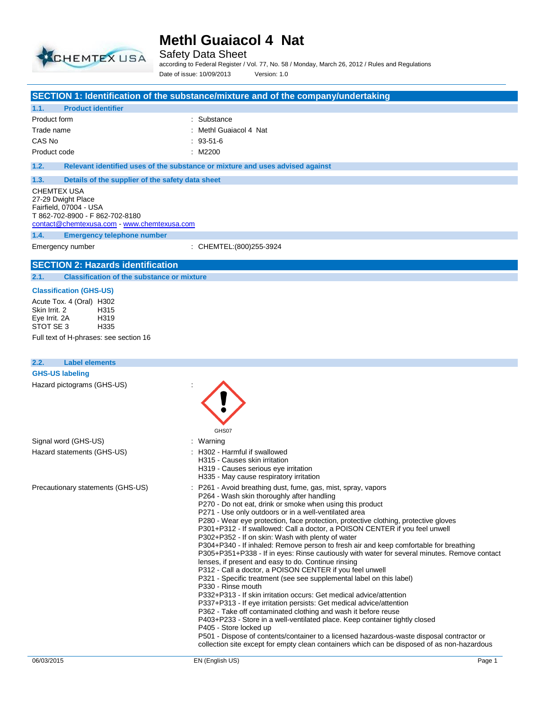

Safety Data Sheet

according to Federal Register / Vol. 77, No. 58 / Monday, March 26, 2012 / Rules and Regulations Date of issue: 10/09/2013 Version: 1.0

#### **SECTION 1: Identification of the substance/mixture and of the company/undertaking**

| 1.1.         | <b>Product identifier</b> |                        |
|--------------|---------------------------|------------------------|
| Product form |                           | : Substance            |
| Trade name   |                           | : Methl Guaiacol 4 Nat |
| CAS No       |                           | $: 93-51-6$            |
| Product code |                           | : M2200                |

**1.2. Relevant identified uses of the substance or mixture and uses advised against**

## **1.3. Details of the supplier of the safety data sheet** CHEMTEX USA

27-29 Dwight Place Fairfield, 07004 - USA T 862-702-8900 - F 862-702-8180 contact@chemtexusa.com - www.chemtexusa.com

**1.4. Emergency telephone number**

Emergency number : CHEMTEL:(800)255-3924

## **SECTION 2: Hazards identification**

**2.1. Classification of the substance or mixture**

#### **Classification (GHS-US)**

Acute Tox. 4 (Oral) H302<br>Skin Irrit. 2 H315 Skin Irrit. 2 H315<br>Eve Irrit. 2A H319 Eye Irrit. 2A H319 STOT SE 3

Full text of H-phrases: see section 16

| <b>Label elements</b><br>2.2.     |                                                                                                                                                                                                                                                                                                                                                                                                                                                                                                                                                                                                                                                                                                                                                                                                                                                                                                                                                                                                                                                                                                                                                                                                                                                                                                                                                                                              |
|-----------------------------------|----------------------------------------------------------------------------------------------------------------------------------------------------------------------------------------------------------------------------------------------------------------------------------------------------------------------------------------------------------------------------------------------------------------------------------------------------------------------------------------------------------------------------------------------------------------------------------------------------------------------------------------------------------------------------------------------------------------------------------------------------------------------------------------------------------------------------------------------------------------------------------------------------------------------------------------------------------------------------------------------------------------------------------------------------------------------------------------------------------------------------------------------------------------------------------------------------------------------------------------------------------------------------------------------------------------------------------------------------------------------------------------------|
| <b>GHS-US labeling</b>            |                                                                                                                                                                                                                                                                                                                                                                                                                                                                                                                                                                                                                                                                                                                                                                                                                                                                                                                                                                                                                                                                                                                                                                                                                                                                                                                                                                                              |
| Hazard pictograms (GHS-US)        | GHS07                                                                                                                                                                                                                                                                                                                                                                                                                                                                                                                                                                                                                                                                                                                                                                                                                                                                                                                                                                                                                                                                                                                                                                                                                                                                                                                                                                                        |
| Signal word (GHS-US)              | : Warning                                                                                                                                                                                                                                                                                                                                                                                                                                                                                                                                                                                                                                                                                                                                                                                                                                                                                                                                                                                                                                                                                                                                                                                                                                                                                                                                                                                    |
| Hazard statements (GHS-US)        | : H302 - Harmful if swallowed<br>H315 - Causes skin irritation<br>H319 - Causes serious eye irritation<br>H335 - May cause respiratory irritation                                                                                                                                                                                                                                                                                                                                                                                                                                                                                                                                                                                                                                                                                                                                                                                                                                                                                                                                                                                                                                                                                                                                                                                                                                            |
| Precautionary statements (GHS-US) | : P261 - Avoid breathing dust, fume, gas, mist, spray, vapors<br>P264 - Wash skin thoroughly after handling<br>P270 - Do not eat, drink or smoke when using this product<br>P271 - Use only outdoors or in a well-ventilated area<br>P280 - Wear eye protection, face protection, protective clothing, protective gloves<br>P301+P312 - If swallowed: Call a doctor, a POISON CENTER if you feel unwell<br>P302+P352 - If on skin: Wash with plenty of water<br>P304+P340 - If inhaled: Remove person to fresh air and keep comfortable for breathing<br>P305+P351+P338 - If in eyes: Rinse cautiously with water for several minutes. Remove contact<br>lenses, if present and easy to do. Continue rinsing<br>P312 - Call a doctor, a POISON CENTER if you feel unwell<br>P321 - Specific treatment (see see supplemental label on this label)<br>P330 - Rinse mouth<br>P332+P313 - If skin irritation occurs: Get medical advice/attention<br>P337+P313 - If eye irritation persists: Get medical advice/attention<br>P362 - Take off contaminated clothing and wash it before reuse<br>P403+P233 - Store in a well-ventilated place. Keep container tightly closed<br>P405 - Store locked up<br>P501 - Dispose of contents/container to a licensed hazardous-waste disposal contractor or<br>collection site except for empty clean containers which can be disposed of as non-hazardous |
| 06/03/2015                        | EN (English US)<br>Page 1                                                                                                                                                                                                                                                                                                                                                                                                                                                                                                                                                                                                                                                                                                                                                                                                                                                                                                                                                                                                                                                                                                                                                                                                                                                                                                                                                                    |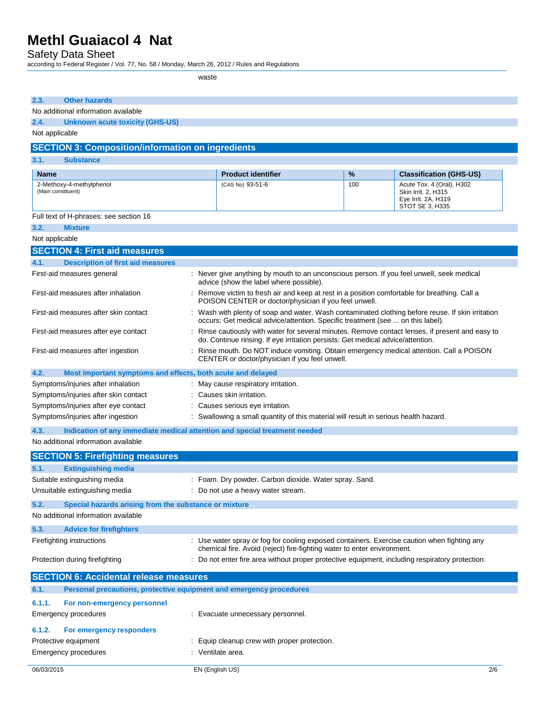Safety Data Sheet

according to Federal Register / Vol. 77, No. 58 / Monday, March 26, 2012 / Rules and Regulations

waste

| 2.3.<br><b>Other hazards</b>                                                                                                      |                                                                                                                                                                                     |   |                                |  |  |
|-----------------------------------------------------------------------------------------------------------------------------------|-------------------------------------------------------------------------------------------------------------------------------------------------------------------------------------|---|--------------------------------|--|--|
| No additional information available                                                                                               |                                                                                                                                                                                     |   |                                |  |  |
| 2.4.<br><b>Unknown acute toxicity (GHS-US)</b>                                                                                    |                                                                                                                                                                                     |   |                                |  |  |
| Not applicable                                                                                                                    |                                                                                                                                                                                     |   |                                |  |  |
| <b>SECTION 3: Composition/information on ingredients</b>                                                                          |                                                                                                                                                                                     |   |                                |  |  |
| 3.1.<br><b>Substance</b>                                                                                                          |                                                                                                                                                                                     |   |                                |  |  |
| <b>Name</b>                                                                                                                       | <b>Product identifier</b>                                                                                                                                                           | % | <b>Classification (GHS-US)</b> |  |  |
| 2-Methoxy-4-methylphenol<br>(Main constituent)                                                                                    | (CAS No) 93-51-6<br>100<br>Acute Tox. 4 (Oral), H302<br>Skin Irrit. 2, H315<br>Eye Irrit. 2A, H319<br>STOT SE 3, H335                                                               |   |                                |  |  |
| Full text of H-phrases: see section 16                                                                                            |                                                                                                                                                                                     |   |                                |  |  |
| 3.2.<br><b>Mixture</b>                                                                                                            |                                                                                                                                                                                     |   |                                |  |  |
| Not applicable                                                                                                                    |                                                                                                                                                                                     |   |                                |  |  |
| <b>SECTION 4: First aid measures</b>                                                                                              |                                                                                                                                                                                     |   |                                |  |  |
| 4.1.<br><b>Description of first aid measures</b>                                                                                  |                                                                                                                                                                                     |   |                                |  |  |
| First-aid measures general                                                                                                        | : Never give anything by mouth to an unconscious person. If you feel unwell, seek medical<br>advice (show the label where possible).                                                |   |                                |  |  |
| First-aid measures after inhalation                                                                                               | : Remove victim to fresh air and keep at rest in a position comfortable for breathing. Call a<br>POISON CENTER or doctor/physician if you feel unwell.                              |   |                                |  |  |
| First-aid measures after skin contact                                                                                             | : Wash with plenty of soap and water. Wash contaminated clothing before reuse. If skin irritation<br>occurs: Get medical advice/attention. Specific treatment (see  on this label). |   |                                |  |  |
| First-aid measures after eye contact                                                                                              | : Rinse cautiously with water for several minutes. Remove contact lenses, if present and easy to<br>do. Continue rinsing. If eye irritation persists: Get medical advice/attention. |   |                                |  |  |
| First-aid measures after ingestion                                                                                                | : Rinse mouth. Do NOT induce vomiting. Obtain emergency medical attention. Call a POISON<br>CENTER or doctor/physician if you feel unwell.                                          |   |                                |  |  |
| 4.2.<br>Most important symptoms and effects, both acute and delayed                                                               |                                                                                                                                                                                     |   |                                |  |  |
| Symptoms/injuries after inhalation<br>: May cause respiratory irritation.                                                         |                                                                                                                                                                                     |   |                                |  |  |
| : Causes skin irritation.<br>Symptoms/injuries after skin contact                                                                 |                                                                                                                                                                                     |   |                                |  |  |
| Symptoms/injuries after eye contact<br>: Causes serious eye irritation.                                                           |                                                                                                                                                                                     |   |                                |  |  |
|                                                                                                                                   | Symptoms/injuries after ingestion<br>: Swallowing a small quantity of this material will result in serious health hazard.                                                           |   |                                |  |  |
| 4.3.                                                                                                                              | Indication of any immediate medical attention and special treatment needed                                                                                                          |   |                                |  |  |
| No additional information available                                                                                               |                                                                                                                                                                                     |   |                                |  |  |
| <b>SECTION 5: Firefighting measures</b>                                                                                           |                                                                                                                                                                                     |   |                                |  |  |
| 5.1.<br><b>Extinguishing media</b>                                                                                                |                                                                                                                                                                                     |   |                                |  |  |
| Suitable extinguishing media                                                                                                      | : Foam. Dry powder. Carbon dioxide. Water spray. Sand.                                                                                                                              |   |                                |  |  |
| Unsuitable extinguishing media                                                                                                    | Do not use a heavy water stream.                                                                                                                                                    |   |                                |  |  |
| 5.2.<br>Special hazards arising from the substance or mixture                                                                     |                                                                                                                                                                                     |   |                                |  |  |
| No additional information available                                                                                               |                                                                                                                                                                                     |   |                                |  |  |
| 5.3.<br><b>Advice for firefighters</b>                                                                                            |                                                                                                                                                                                     |   |                                |  |  |
| Firefighting instructions                                                                                                         | : Use water spray or fog for cooling exposed containers. Exercise caution when fighting any<br>chemical fire. Avoid (reject) fire-fighting water to enter environment.              |   |                                |  |  |
| : Do not enter fire area without proper protective equipment, including respiratory protection.<br>Protection during firefighting |                                                                                                                                                                                     |   |                                |  |  |
| <b>SECTION 6: Accidental release measures</b>                                                                                     |                                                                                                                                                                                     |   |                                |  |  |
| 6.1.                                                                                                                              | Personal precautions, protective equipment and emergency procedures                                                                                                                 |   |                                |  |  |
| 6.1.1.<br>For non-emergency personnel                                                                                             |                                                                                                                                                                                     |   |                                |  |  |
| Emergency procedures                                                                                                              | : Evacuate unnecessary personnel.                                                                                                                                                   |   |                                |  |  |
| 6.1.2.<br>For emergency responders                                                                                                |                                                                                                                                                                                     |   |                                |  |  |
| Protective equipment<br>: Equip cleanup crew with proper protection.<br>: Ventilate area.<br>Emergency procedures                 |                                                                                                                                                                                     |   |                                |  |  |
| 06/03/2015                                                                                                                        | EN (English US)                                                                                                                                                                     |   | 2/6                            |  |  |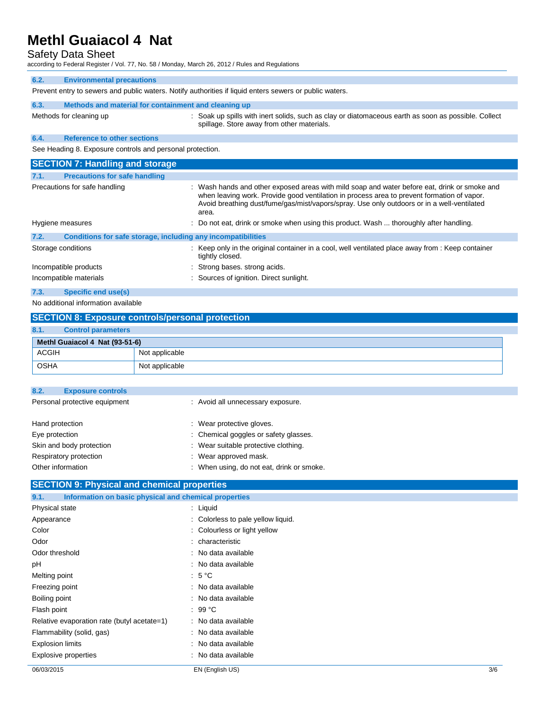## Safety Data Sheet

according to Federal Register / Vol. 77, No. 58 / Monday, March 26, 2012 / Rules and Regulations

| 6.2.                                                      | <b>Environmental precautions</b>                                                                        |                                                                                                                                                                                                                                                                                          |  |  |
|-----------------------------------------------------------|---------------------------------------------------------------------------------------------------------|------------------------------------------------------------------------------------------------------------------------------------------------------------------------------------------------------------------------------------------------------------------------------------------|--|--|
|                                                           | Prevent entry to sewers and public waters. Notify authorities if liquid enters sewers or public waters. |                                                                                                                                                                                                                                                                                          |  |  |
| 6.3.                                                      | Methods and material for containment and cleaning up                                                    |                                                                                                                                                                                                                                                                                          |  |  |
|                                                           | Methods for cleaning up                                                                                 | : Soak up spills with inert solids, such as clay or diatomaceous earth as soon as possible. Collect<br>spillage. Store away from other materials.                                                                                                                                        |  |  |
| 6.4.                                                      | <b>Reference to other sections</b>                                                                      |                                                                                                                                                                                                                                                                                          |  |  |
| See Heading 8. Exposure controls and personal protection. |                                                                                                         |                                                                                                                                                                                                                                                                                          |  |  |
| <b>SECTION 7: Handling and storage</b>                    |                                                                                                         |                                                                                                                                                                                                                                                                                          |  |  |
| 7.1.                                                      | <b>Precautions for safe handling</b>                                                                    |                                                                                                                                                                                                                                                                                          |  |  |
| Precautions for safe handling                             |                                                                                                         | : Wash hands and other exposed areas with mild soap and water before eat, drink or smoke and<br>when leaving work. Provide good ventilation in process area to prevent formation of vapor.<br>Avoid breathing dust/fume/gas/mist/vapors/spray. Use only outdoors or in a well-ventilated |  |  |

|                             |                                                              | area.                                                                                                                |
|-----------------------------|--------------------------------------------------------------|----------------------------------------------------------------------------------------------------------------------|
| Hygiene measures            |                                                              | : Do not eat, drink or smoke when using this product. Wash  thoroughly after handling.                               |
| 7.2.                        | Conditions for safe storage, including any incompatibilities |                                                                                                                      |
| Storage conditions          |                                                              | : Keep only in the original container in a cool, well ventilated place away from : Keep container<br>tightly closed. |
| Incompatible products       |                                                              | : Strong bases, strong acids.                                                                                        |
| Incompatible materials      |                                                              | : Sources of ignition. Direct sunlight.                                                                              |
| 7.3.<br>Specific end use(s) |                                                              |                                                                                                                      |

No additional information available

| <b>SECTION 8: Exposure controls/personal protection</b> |                                |                |  |  |  |
|---------------------------------------------------------|--------------------------------|----------------|--|--|--|
| 8.1.                                                    | <b>Control parameters</b>      |                |  |  |  |
|                                                         | Methl Guaiacol 4 Nat (93-51-6) |                |  |  |  |
| <b>ACGIH</b>                                            |                                | Not applicable |  |  |  |
| <b>OSHA</b>                                             |                                | Not applicable |  |  |  |

| 8.2.                          | <b>Exposure controls</b> |                                           |
|-------------------------------|--------------------------|-------------------------------------------|
| Personal protective equipment |                          | : Avoid all unnecessary exposure.         |
|                               |                          |                                           |
| Hand protection               |                          | : Wear protective gloves.                 |
| Eye protection                |                          | : Chemical goggles or safety glasses.     |
|                               | Skin and body protection | : Wear suitable protective clothing.      |
|                               | Respiratory protection   | : Wear approved mask.                     |
| Other information             |                          | : When using, do not eat, drink or smoke. |

## **SECTION 9: Physical and chemical properties**

| Information on basic physical and chemical properties<br>9.1. |                                    |     |
|---------------------------------------------------------------|------------------------------------|-----|
| <b>Physical state</b>                                         | $\therefore$ Liquid                |     |
| Appearance                                                    | : Colorless to pale yellow liquid. |     |
| Color                                                         | : Colourless or light yellow       |     |
| Odor                                                          | : characteristic                   |     |
| Odor threshold                                                | : No data available                |     |
| рH                                                            | : No data available                |     |
| Melting point                                                 | $:5^{\circ}C$                      |     |
| Freezing point                                                | : No data available                |     |
| Boiling point                                                 | : No data available                |     |
| Flash point                                                   | $: 99^{\circ}$ C                   |     |
| Relative evaporation rate (butyl acetate=1)                   | : No data available                |     |
| Flammability (solid, gas)                                     | : No data available                |     |
| <b>Explosion limits</b>                                       | : No data available                |     |
| <b>Explosive properties</b>                                   | : No data available                |     |
| 06/03/2015                                                    | EN (English US)                    | 3/6 |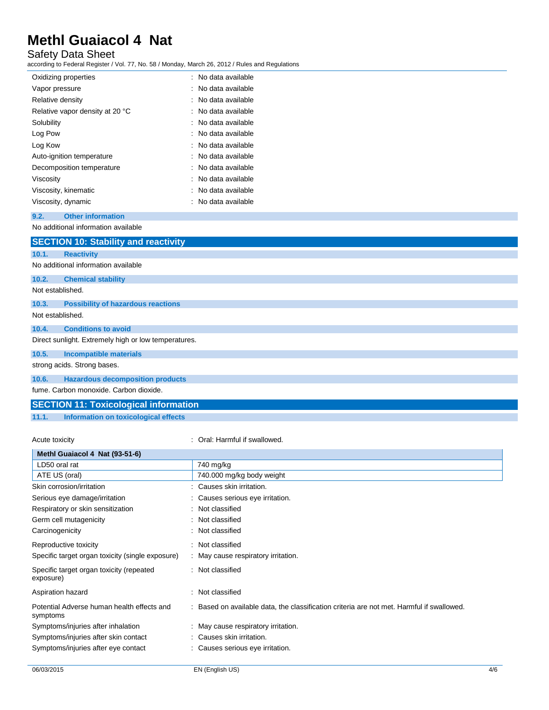## Safety Data Sheet

according to Federal Register / Vol. 77, No. 58 / Monday, March 26, 2012 / Rules and Regulations

| Oxidizing properties            | : No data available  |
|---------------------------------|----------------------|
| Vapor pressure                  | ∴ No data available. |
| Relative density                | ∴ No data available  |
| Relative vapor density at 20 °C | ∴ No data available. |
| Solubility                      | : No data available  |
| Log Pow                         | : No data available  |
| Log Kow                         | : No data available  |
| Auto-ignition temperature       | : No data available  |
| Decomposition temperature       | : No data available  |
| Viscosity                       | ∴ No data available  |
| Viscosity, kinematic            | : No data available  |
| Viscosity, dynamic              | : No data available  |

#### **9.2. Other information**

No additional information available

|                  | <b>SECTION 10: Stability and reactivity</b>          |
|------------------|------------------------------------------------------|
| 10.1.            | <b>Reactivity</b>                                    |
|                  | No additional information available                  |
| 10.2.            | <b>Chemical stability</b>                            |
| Not established. |                                                      |
| 10.3.            | <b>Possibility of hazardous reactions</b>            |
|                  | Not established.                                     |
| 10.4.            | <b>Conditions to avoid</b>                           |
|                  | Direct sunlight. Extremely high or low temperatures. |
| 10.5.            | Incompatible materials                               |
|                  | strong acids. Strong bases.                          |
| 10.6.            | <b>Hazardous decomposition products</b>              |
|                  | .                                                    |

fume. Carbon monoxide. Carbon dioxide.

## **SECTION 11: Toxicological information**

**11.1. Information on toxicological effects**

Acute toxicity **in the case of the Caucase** of Crai: Harmful if swallowed.

| Methl Guaiacol 4 Nat (93-51-6)                         |                                                                                           |
|--------------------------------------------------------|-------------------------------------------------------------------------------------------|
| LD50 oral rat                                          | 740 mg/kg                                                                                 |
| ATE US (oral)                                          | 740.000 mg/kg body weight                                                                 |
| Skin corrosion/irritation                              | : Causes skin irritation.                                                                 |
| Serious eye damage/irritation                          | Causes serious eye irritation.                                                            |
| Respiratory or skin sensitization                      | Not classified                                                                            |
| Germ cell mutagenicity                                 | Not classified                                                                            |
| Carcinogenicity                                        | Not classified                                                                            |
| Reproductive toxicity                                  | : Not classified                                                                          |
| Specific target organ toxicity (single exposure)       | : May cause respiratory irritation.                                                       |
| Specific target organ toxicity (repeated<br>exposure)  | : Not classified                                                                          |
| Aspiration hazard                                      | Not classified                                                                            |
| Potential Adverse human health effects and<br>symptoms | : Based on available data, the classification criteria are not met. Harmful if swallowed. |
| Symptoms/injuries after inhalation                     | : May cause respiratory irritation.                                                       |
| Symptoms/injuries after skin contact                   | : Causes skin irritation.                                                                 |
| Symptoms/injuries after eye contact                    | Causes serious eye irritation.                                                            |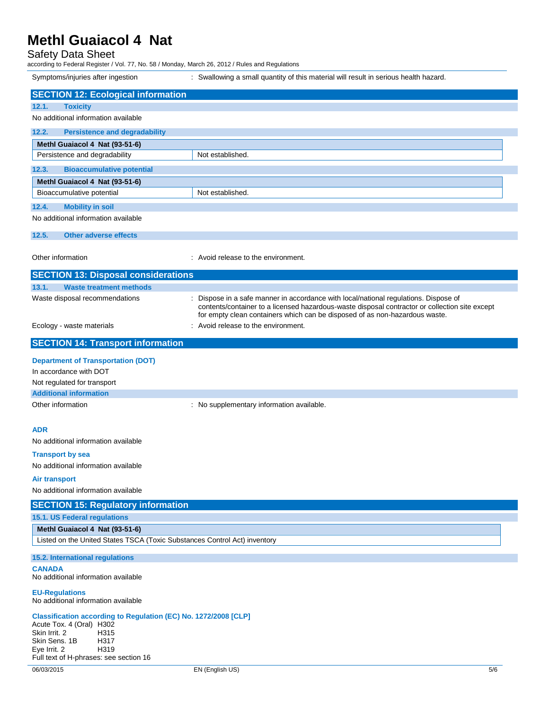#### Safety Data Sheet

according to Federal Register / Vol. 77, No. 58 / Monday, March 26, 2012 / Rules and Regulations

Symptoms/injuries after ingestion : Swallowing a small quantity of this material will result in serious health hazard. **SECTION 12: Ecological information 12.1. Toxicity** No additional information available **12.2. Persistence and degradability Methl Guaiacol 4 Nat (93-51-6)** Persistence and degradability Not established. **12.3. Bioaccumulative potential Methl Guaiacol 4 Nat (93-51-6)** Bioaccumulative potential Not established. **12.4. Mobility in soil** No additional information available **12.5. Other adverse effects** Other information  $\qquad \qquad :$  Avoid release to the environment. **SECTION 13: Disposal considerations 13.1. Waste treatment methods** Waste disposal recommendations : Dispose in a safe manner in accordance with local/national regulations. Dispose of contents/container to a licensed hazardous-waste disposal contractor or collection site except for empty clean containers which can be disposed of as non-hazardous waste. Ecology - waste materials **Ecology** - waste materials **interval** and  $\cdot$  Avoid release to the environment. **SECTION 14: Transport information Department of Transportation (DOT)** In accordance with DOT Not regulated for transport **Additional information** Other information **intervalled** : No supplementary information available. **ADR** No additional information available **Transport by sea** No additional information available **Air transport** No additional information available **SECTION 15: Regulatory information 15.1. US Federal regulations Methl Guaiacol 4 Nat (93-51-6)** Listed on the United States TSCA (Toxic Substances Control Act) inventory **15.2. International regulations CANADA** No additional information available **EU-Regulations** No additional information available **Classification according to Regulation (EC) No. 1272/2008 [CLP]** Acute Tox. 4 (Oral) H302 Skin Irrit. 2 H315 Skin Sens. 1B H317<br>Eve Irrit. 2 H319 Eve Irrit. 2 Full text of H-phrases: see section 16